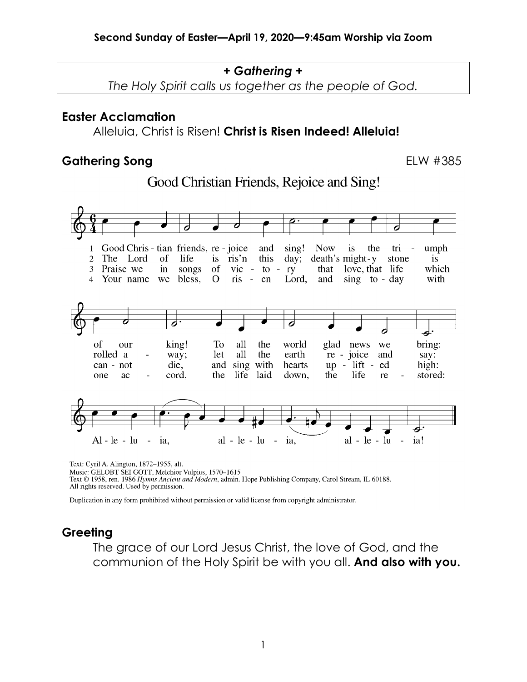#### *+ Gathering +*

*The Holy Spirit calls us together as the people of God.*

#### **Easter Acclamation**

Alleluia, Christ is Risen! **Christ is Risen Indeed! Alleluia!**

#### Gathering Song **ELW #385**

# Good Christian Friends, Rejoice and Sing!



Text: Cyril A. Alington, 1872-1955, alt.

Music: GELOBT SEI GOTT, Melchior Vulpius, 1570-1615

Text © 1958, ren. 1986 Hymns Ancient and Modern, admin. Hope Publishing Company, Carol Stream, IL 60188. All rights reserved. Used by permission.

Duplication in any form prohibited without permission or valid license from copyright administrator.

#### **Greeting**

The grace of our Lord Jesus Christ, the love of God, and the communion of the Holy Spirit be with you all. **And also with you.**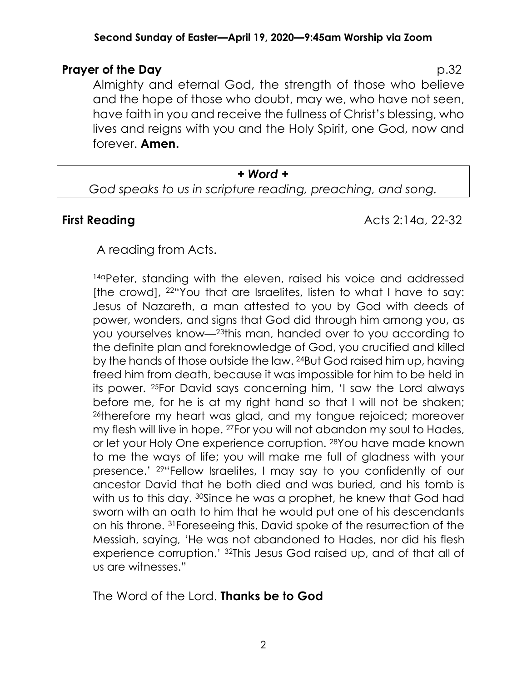#### **Second Sunday of Easter—April 19, 2020—9:45am Worship via Zoom**

## **Prayer of the Day** p.32

Almighty and eternal God, the strength of those who believe and the hope of those who doubt, may we, who have not seen, have faith in you and receive the fullness of Christ's blessing, who lives and reigns with you and the Holy Spirit, one God, now and forever. **Amen.**

#### *+ Word +*

*God speaks to us in scripture reading, preaching, and song.*

**First Reading Acts 2:14a, 22-32** 

A reading from Acts.

14aPeter, standing with the eleven, raised his voice and addressed [the crowd], 22"You that are Israelites, listen to what I have to say: Jesus of Nazareth, a man attested to you by God with deeds of power, wonders, and signs that God did through him among you, as you yourselves know—23this man, handed over to you according to the definite plan and foreknowledge of God, you crucified and killed by the hands of those outside the law. 24But God raised him up, having freed him from death, because it was impossible for him to be held in its power. 25For David says concerning him, 'I saw the Lord always before me, for he is at my right hand so that I will not be shaken; 26therefore my heart was glad, and my tongue rejoiced; moreover my flesh will live in hope. 27For you will not abandon my soul to Hades, or let your Holy One experience corruption. 28You have made known to me the ways of life; you will make me full of gladness with your presence.' 29"Fellow Israelites, I may say to you confidently of our ancestor David that he both died and was buried, and his tomb is with us to this day. 30Since he was a prophet, he knew that God had sworn with an oath to him that he would put one of his descendants on his throne. 31Foreseeing this, David spoke of the resurrection of the Messiah, saying, 'He was not abandoned to Hades, nor did his flesh experience corruption.' 32This Jesus God raised up, and of that all of us are witnesses."

The Word of the Lord. **Thanks be to God**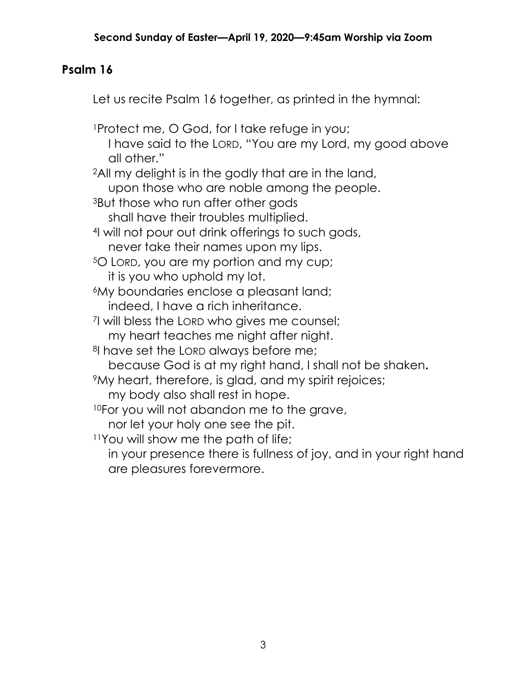# **Psalm 16**

Let us recite Psalm 16 together, as printed in the hymnal:

1Protect me, O God, for I take refuge in you; I have said to the LORD, "You are my Lord, my good above all other."

2All my delight is in the godly that are in the land,

upon those who are noble among the people.

3But those who run after other gods

shall have their troubles multiplied.

- 4I will not pour out drink offerings to such gods, never take their names upon my lips.
- 5O LORD, you are my portion and my cup; it is you who uphold my lot.
- 6My boundaries enclose a pleasant land; indeed, I have a rich inheritance.
- 7I will bless the LORD who gives me counsel;

my heart teaches me night after night.

<sup>8</sup>I have set the LORD always before me;

because God is at my right hand, I shall not be shaken**.**

9My heart, therefore, is glad, and my spirit rejoices;

my body also shall rest in hope.

10For you will not abandon me to the grave,

nor let your holy one see the pit.

11You will show me the path of life;

in your presence there is fullness of joy, and in your right hand are pleasures forevermore.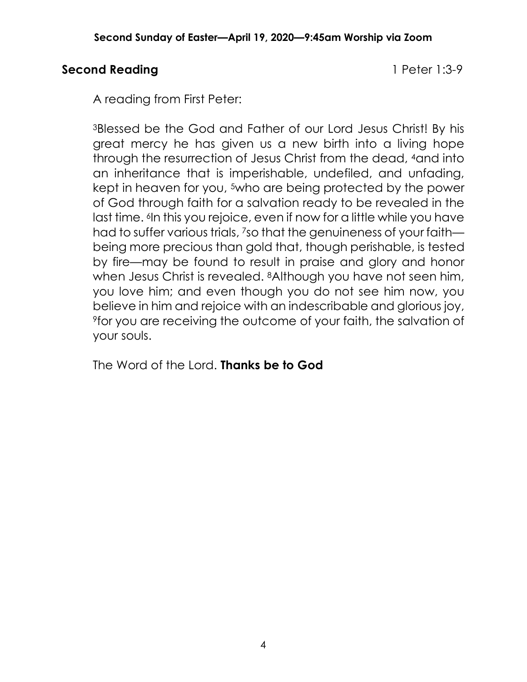## **Second Reading 1 Peter 1:3-9**

A reading from First Peter:

3Blessed be the God and Father of our Lord Jesus Christ! By his great mercy he has given us a new birth into a living hope through the resurrection of Jesus Christ from the dead, 4and into an inheritance that is imperishable, undefiled, and unfading, kept in heaven for you, <sup>5</sup>who are being protected by the power of God through faith for a salvation ready to be revealed in the last time. <sup>6</sup>In this you rejoice, even if now for a little while you have had to suffer various trials, 7so that the genuineness of your faith being more precious than gold that, though perishable, is tested by fire—may be found to result in praise and glory and honor when Jesus Christ is revealed. <sup>8</sup>Although you have not seen him, you love him; and even though you do not see him now, you believe in him and rejoice with an indescribable and glorious joy, 9for you are receiving the outcome of your faith, the salvation of your souls.

The Word of the Lord. **Thanks be to God**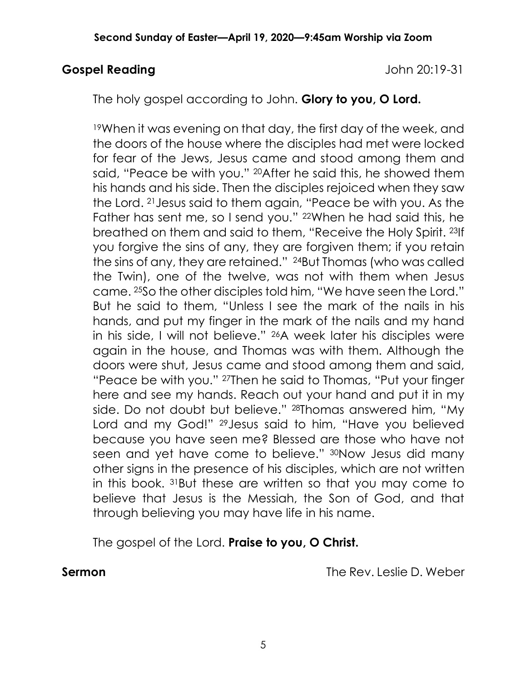#### **Gospel Reading** John 20:19-31

The holy gospel according to John. **Glory to you, O Lord.**

19When it was evening on that day, the first day of the week, and the doors of the house where the disciples had met were locked for fear of the Jews, Jesus came and stood among them and said, "Peace be with you." 20After he said this, he showed them his hands and his side. Then the disciples rejoiced when they saw the Lord. 21Jesus said to them again, "Peace be with you. As the Father has sent me, so I send you." <sup>22</sup>When he had said this, he breathed on them and said to them, "Receive the Holy Spirit. 23If you forgive the sins of any, they are forgiven them; if you retain the sins of any, they are retained." 24But Thomas (who was called the Twin), one of the twelve, was not with them when Jesus came. 25So the other disciples told him, "We have seen the Lord." But he said to them, "Unless I see the mark of the nails in his hands, and put my finger in the mark of the nails and my hand in his side, I will not believe." 26A week later his disciples were again in the house, and Thomas was with them. Although the doors were shut, Jesus came and stood among them and said, "Peace be with you." 27Then he said to Thomas, "Put your finger here and see my hands. Reach out your hand and put it in my side. Do not doubt but believe." 28Thomas answered him, "My Lord and my God!" 29Jesus said to him, "Have you believed because you have seen me? Blessed are those who have not seen and yet have come to believe." 30Now Jesus did many other signs in the presence of his disciples, which are not written in this book. 31But these are written so that you may come to believe that Jesus is the Messiah, the Son of God, and that through believing you may have life in his name.

The gospel of the Lord. **Praise to you, O Christ.**

**Sermon Constanting Constanting Constanting Constanting Constanting The Rev. Leslie D. Weber**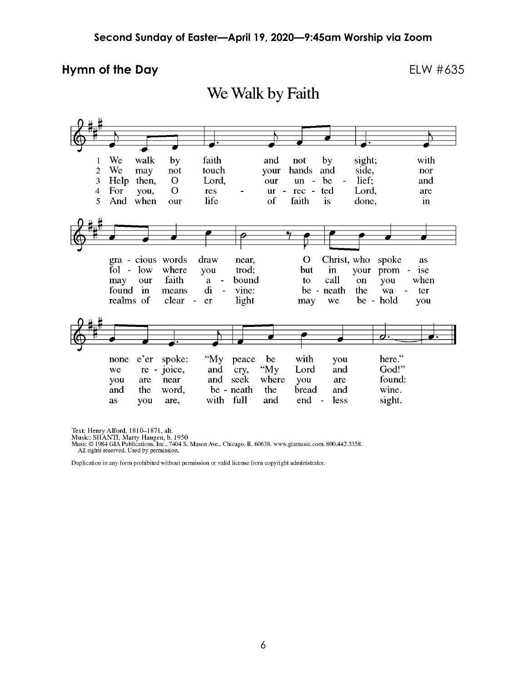#### **Hymn of the Day** ELW #635

We Walk by Faith



Text: Henry Alford, 1810–1871, alt.<br>Music: SHANTI, Marty Haugen, b. 1950<br>Music © 1984 GIA Publications, Inc., 7404 S. Mason Ave., Chicago, IL 60638. www.giamusic.com. 800.442.3358. All rights reserved. Used by permission.

Duplication in any form prohibited without permission or valid license from copyright administrator.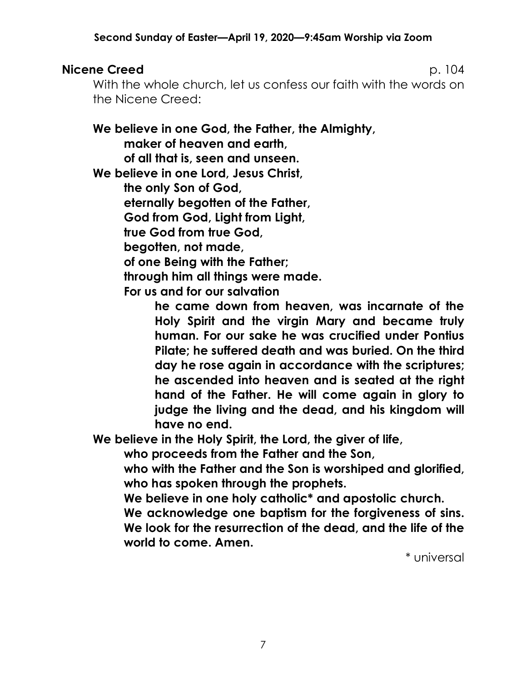## **Nicene Creed 2018 104 PM** 2018 104

With the whole church, let us confess our faith with the words on the Nicene Creed:

**We believe in one God, the Father, the Almighty, maker of heaven and earth,** 

**of all that is, seen and unseen.**

**We believe in one Lord, Jesus Christ,**

**the only Son of God,**

**eternally begotten of the Father,**

**God from God, Light from Light,**

**true God from true God,**

**begotten, not made,**

**of one Being with the Father;**

**through him all things were made.**

**For us and for our salvation** 

**he came down from heaven, was incarnate of the Holy Spirit and the virgin Mary and became truly human. For our sake he was crucified under Pontius Pilate; he suffered death and was buried. On the third day he rose again in accordance with the scriptures; he ascended into heaven and is seated at the right hand of the Father. He will come again in glory to judge the living and the dead, and his kingdom will have no end.**

**We believe in the Holy Spirit, the Lord, the giver of life,**

**who proceeds from the Father and the Son,**

**who with the Father and the Son is worshiped and glorified, who has spoken through the prophets.**

**We believe in one holy catholic\* and apostolic church.**

**We acknowledge one baptism for the forgiveness of sins. We look for the resurrection of the dead, and the life of the world to come. Amen.**

\* universal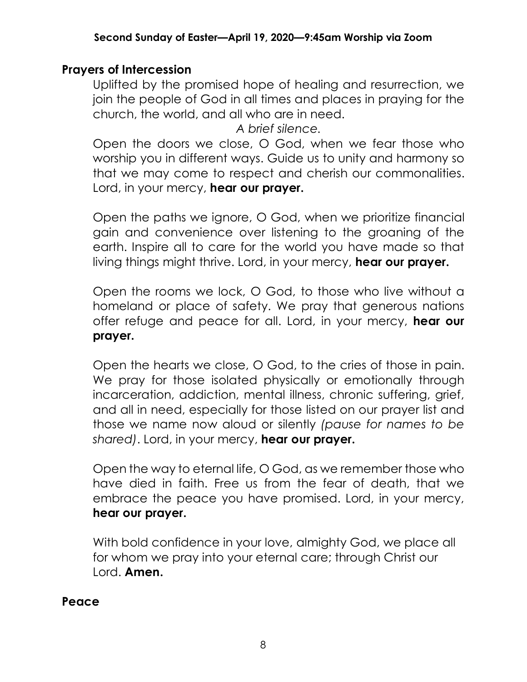## **Prayers of Intercession**

Uplifted by the promised hope of healing and resurrection, we join the people of God in all times and places in praying for the church, the world, and all who are in need.

*A brief silence.*

Open the doors we close, O God, when we fear those who worship you in different ways. Guide us to unity and harmony so that we may come to respect and cherish our commonalities. Lord, in your mercy, **hear our prayer.**

Open the paths we ignore, O God, when we prioritize financial gain and convenience over listening to the groaning of the earth. Inspire all to care for the world you have made so that living things might thrive. Lord, in your mercy, **hear our prayer.**

Open the rooms we lock, O God, to those who live without a homeland or place of safety. We pray that generous nations offer refuge and peace for all. Lord, in your mercy, **hear our prayer.**

Open the hearts we close, O God, to the cries of those in pain. We pray for those isolated physically or emotionally through incarceration, addiction, mental illness, chronic suffering, grief, and all in need, especially for those listed on our prayer list and those we name now aloud or silently *(pause for names to be shared)*. Lord, in your mercy, **hear our prayer.**

Open the way to eternal life, O God, as we remember those who have died in faith. Free us from the fear of death, that we embrace the peace you have promised. Lord, in your mercy, **hear our prayer.**

With bold confidence in your love, almighty God, we place all for whom we pray into your eternal care; through Christ our Lord. **Amen.**

**Peace**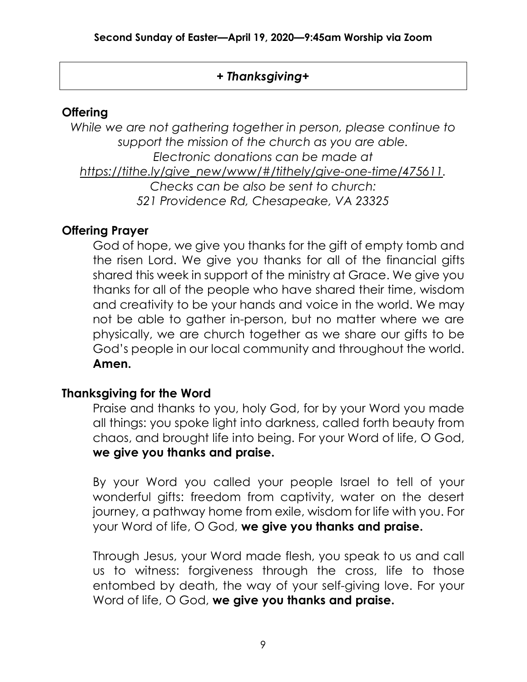## *+ Thanksgiving+*

## **Offering**

*While we are not gathering together in person, please continue to support the mission of the church as you are able. Electronic donations can be made at https://tithe.ly/give\_new/www/#/tithely/give-one-time/475611. Checks can be also be sent to church: 521 Providence Rd, Chesapeake, VA 23325*

## **Offering Prayer**

God of hope, we give you thanks for the gift of empty tomb and the risen Lord. We give you thanks for all of the financial gifts shared this week in support of the ministry at Grace. We give you thanks for all of the people who have shared their time, wisdom and creativity to be your hands and voice in the world. We may not be able to gather in-person, but no matter where we are physically, we are church together as we share our gifts to be God's people in our local community and throughout the world. **Amen.**

## **Thanksgiving for the Word**

Praise and thanks to you, holy God, for by your Word you made all things: you spoke light into darkness, called forth beauty from chaos, and brought life into being. For your Word of life, O God, **we give you thanks and praise.**

By your Word you called your people Israel to tell of your wonderful gifts: freedom from captivity, water on the desert journey, a pathway home from exile, wisdom for life with you. For your Word of life, O God, **we give you thanks and praise.**

Through Jesus, your Word made flesh, you speak to us and call us to witness: forgiveness through the cross, life to those entombed by death, the way of your self-giving love. For your Word of life, O God, **we give you thanks and praise.**